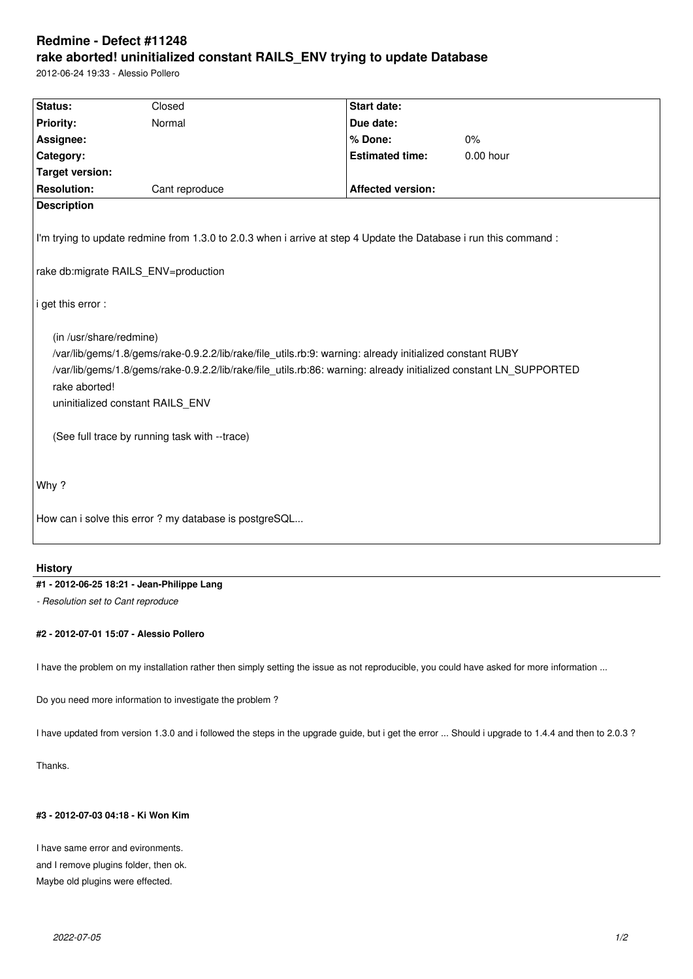# **Redmine - Defect #11248 rake aborted! uninitialized constant RAILS\_ENV trying to update Database**

2012-06-24 19:33 - Alessio Pollero

| Status:                                                                                                                                                                                                                                                                                                                                                        | Closed         | <b>Start date:</b>       |             |
|----------------------------------------------------------------------------------------------------------------------------------------------------------------------------------------------------------------------------------------------------------------------------------------------------------------------------------------------------------------|----------------|--------------------------|-------------|
| <b>Priority:</b>                                                                                                                                                                                                                                                                                                                                               | Normal         | Due date:                |             |
| Assignee:                                                                                                                                                                                                                                                                                                                                                      |                | % Done:                  | 0%          |
| Category:                                                                                                                                                                                                                                                                                                                                                      |                | <b>Estimated time:</b>   | $0.00$ hour |
| <b>Target version:</b>                                                                                                                                                                                                                                                                                                                                         |                |                          |             |
| <b>Resolution:</b>                                                                                                                                                                                                                                                                                                                                             | Cant reproduce | <b>Affected version:</b> |             |
| <b>Description</b>                                                                                                                                                                                                                                                                                                                                             |                |                          |             |
| I'm trying to update redmine from 1.3.0 to 2.0.3 when i arrive at step 4 Update the Database i run this command :<br>rake db:migrate RAILS_ENV=production<br>i get this error :                                                                                                                                                                                |                |                          |             |
| (in /usr/share/redmine)<br>/var/lib/gems/1.8/gems/rake-0.9.2.2/lib/rake/file utils.rb:9: warning: already initialized constant RUBY<br>/var/lib/gems/1.8/gems/rake-0.9.2.2/lib/rake/file_utils.rb:86: warning: already initialized constant LN_SUPPORTED<br>rake aborted!<br>uninitialized constant RAILS_ENV<br>(See full trace by running task with --trace) |                |                          |             |
| Why?                                                                                                                                                                                                                                                                                                                                                           |                |                          |             |
| How can i solve this error ? my database is postgreSQL                                                                                                                                                                                                                                                                                                         |                |                          |             |

## **History**

### **#1 - 2012-06-25 18:21 - Jean-Philippe Lang**

*- Resolution set to Cant reproduce*

### **#2 - 2012-07-01 15:07 - Alessio Pollero**

I have the problem on my installation rather then simply setting the issue as not reproducible, you could have asked for more information ...

Do you need more information to investigate the problem ?

I have updated from version 1.3.0 and i followed the steps in the upgrade guide, but i get the error ... Should i upgrade to 1.4.4 and then to 2.0.3 ?

Thanks.

#### **#3 - 2012-07-03 04:18 - Ki Won Kim**

I have same error and evironments. and I remove plugins folder, then ok. Maybe old plugins were effected.